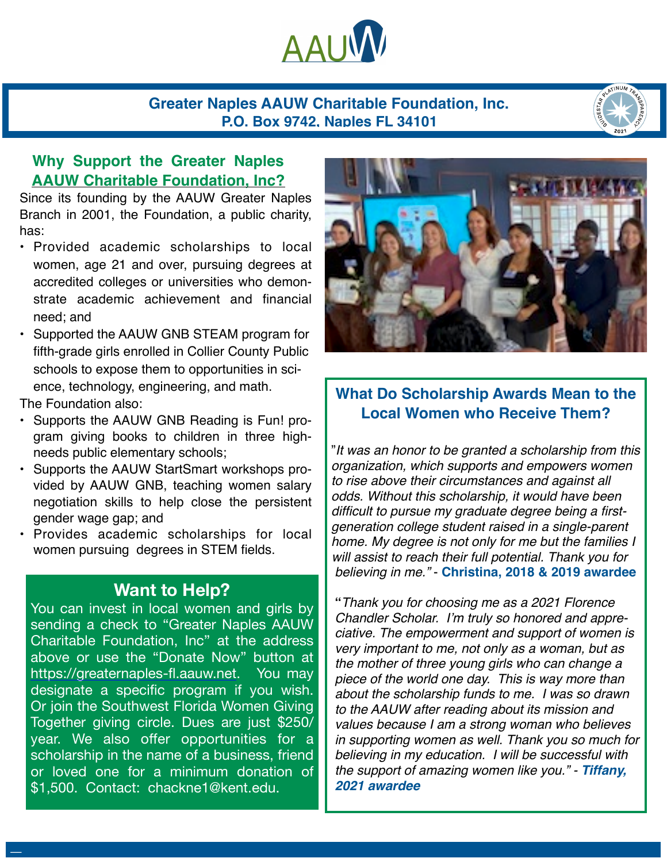

### **Greater Naples AAUW Charitable Foundation, Inc. P.O. Box 9742, Naples FL 34101**



## **Why Support the Greater Naples AAUW Charitable Foundation, Inc?**

Since its founding by the AAUW Greater Naples Branch in 2001, the Foundation, a public charity, has:

- Provided academic scholarships to local women, age 21 and over, pursuing degrees at accredited colleges or universities who demonstrate academic achievement and financial need; and
- Supported the AAUW GNB STEAM program for fifth-grade girls enrolled in Collier County Public schools to expose them to opportunities in science, technology, engineering, and math.

The Foundation also:

Type to enter text

- Supports the AAUW GNB Reading is Fun! program giving books to children in three highneeds public elementary schools;
- Supports the AAUW StartSmart workshops provided by AAUW GNB, teaching women salary negotiation skills to help close the persistent gender wage gap; and
- Provides academic scholarships for local women pursuing degrees in STEM fields.

# **Want to Help?**

You can invest in local women and girls by sending a check to "Greater Naples AAUW Charitable Foundation, Inc" at the address above or use the "Donate Now" button at <https://greaternaples-fl.aauw.net>. You may designate a specific program if you wish. Or join the Southwest Florida Women Giving Together giving circle. Dues are just \$250/ year. We also offer opportunities for a scholarship in the name of a business, friend or loved one for a minimum donation of \$1,500. Contact: chackne1@kent.edu.



## **What Do Scholarship Awards Mean to the Local Women who Receive Them?**

"*It was an honor to be granted a scholarship from this organization, which supports and empowers women to rise above their circumstances and against all odds. Without this scholarship, it would have been difficult to pursue my graduate degree being a firstgeneration college student raised in a single-parent home. My degree is not only for me but the families I will assist to reach their full potential. Thank you for believing in me."* - **Christina, 2018 & 2019 awardee** 

**"***Thank you for choosing me as a 2021 Florence Chandler Scholar. I'm truly so honored and appreciative. The empowerment and support of women is very important to me, not only as a woman, but as the mother of three young girls who can change a piece of the world one day. This is way more than about the scholarship funds to me. I was so drawn to the AAUW after reading about its mission and values because I am a strong woman who believes in supporting women as well. Thank you so much for believing in my education. I will be successful with the support of amazing women like you." - Tiffany, 2021 awardee*